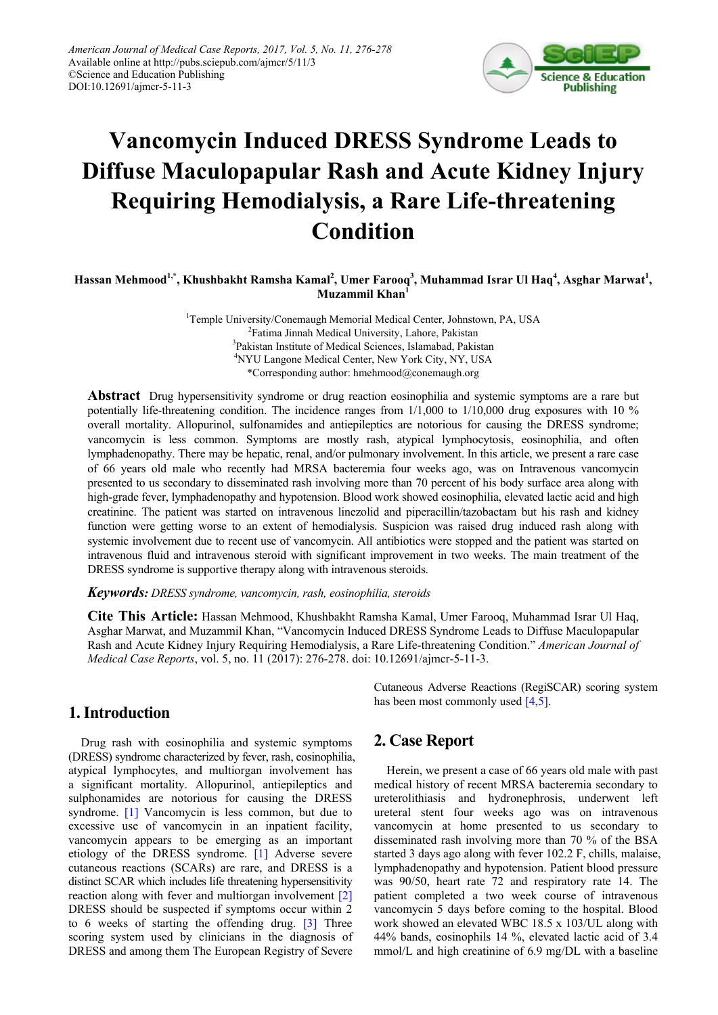

# **Vancomycin Induced DRESS Syndrome Leads to Diffuse Maculopapular Rash and Acute Kidney Injury Requiring Hemodialysis, a Rare Life-threatening Condition**

### $H$ assan Mehmood $^{1,*}$ , Khushbakht Ramsha Kamal $^2$ , Umer Farooq $^3$ , Muhammad Israr Ul Haq $^4$ , Asghar Marwat $^1$ , **Muzammil Khan<sup>1</sup>**

<sup>1</sup>Temple University/Conemaugh Memorial Medical Center, Johnstown, PA, USA <sup>2</sup>Fatima Jinnah Medical University, Lahore, Pakistan <sup>3</sup>Pakistan Institute of Medical Sciences, Islamabad, Pakistan 4 NYU Langone Medical Center, New York City, NY, USA \*Corresponding author: hmehmood@conemaugh.org

**Abstract** Drug hypersensitivity syndrome or drug reaction eosinophilia and systemic symptoms are a rare but potentially life-threatening condition. The incidence ranges from 1/1,000 to 1/10,000 drug exposures with 10 % overall mortality. Allopurinol, sulfonamides and antiepileptics are notorious for causing the DRESS syndrome; vancomycin is less common. Symptoms are mostly rash, atypical lymphocytosis, eosinophilia, and often lymphadenopathy. There may be hepatic, renal, and/or pulmonary involvement. In this article, we present a rare case of 66 years old male who recently had MRSA bacteremia four weeks ago, was on Intravenous vancomycin presented to us secondary to disseminated rash involving more than 70 percent of his body surface area along with high-grade fever, lymphadenopathy and hypotension. Blood work showed eosinophilia, elevated lactic acid and high creatinine. The patient was started on intravenous linezolid and piperacillin/tazobactam but his rash and kidney function were getting worse to an extent of hemodialysis. Suspicion was raised drug induced rash along with systemic involvement due to recent use of vancomycin. All antibiotics were stopped and the patient was started on intravenous fluid and intravenous steroid with significant improvement in two weeks. The main treatment of the DRESS syndrome is supportive therapy along with intravenous steroids.

#### *Keywords: DRESS syndrome, vancomycin, rash, eosinophilia, steroids*

**Cite This Article:** Hassan Mehmood, Khushbakht Ramsha Kamal, Umer Farooq, Muhammad Israr Ul Haq, Asghar Marwat, and Muzammil Khan, "Vancomycin Induced DRESS Syndrome Leads to Diffuse Maculopapular Rash and Acute Kidney Injury Requiring Hemodialysis, a Rare Life-threatening Condition." *American Journal of Medical Case Reports*, vol. 5, no. 11 (2017): 276-278. doi: 10.12691/ajmcr-5-11-3.

# **1. Introduction**

Drug rash with eosinophilia and systemic symptoms (DRESS) syndrome characterized by fever, rash, eosinophilia, atypical lymphocytes, and multiorgan involvement has a significant mortality. Allopurinol, antiepileptics and sulphonamides are notorious for causing the DRESS syndrome. [\[1\]](#page-1-0) Vancomycin is less common, but due to excessive use of vancomycin in an inpatient facility, vancomycin appears to be emerging as an important etiology of the DRESS syndrome. [\[1\]](#page-1-0) Adverse severe cutaneous reactions (SCARs) are rare, and DRESS is a distinct SCAR which includes life threatening hypersensitivity reaction along with fever and multiorgan involvement [\[2\]](#page-1-1) DRESS should be suspected if symptoms occur within 2 to 6 weeks of starting the offending drug. [\[3\]](#page-1-2) Three scoring system used by clinicians in the diagnosis of DRESS and among them The European Registry of Severe

Cutaneous Adverse Reactions (RegiSCAR) scoring system has been most commonly used [\[4,5\].](#page-1-3)

# **2. Case Report**

Herein, we present a case of 66 years old male with past medical history of recent MRSA bacteremia secondary to ureterolithiasis and hydronephrosis, underwent left ureteral stent four weeks ago was on intravenous vancomycin at home presented to us secondary to disseminated rash involving more than 70 % of the BSA started 3 days ago along with fever 102.2 F, chills, malaise, lymphadenopathy and hypotension. Patient blood pressure was 90/50, heart rate 72 and respiratory rate 14. The patient completed a two week course of intravenous vancomycin 5 days before coming to the hospital. Blood work showed an elevated WBC 18.5 x 103/UL along with 44% bands, eosinophils 14 %, elevated lactic acid of 3.4 mmol/L and high creatinine of 6.9 mg/DL with a baseline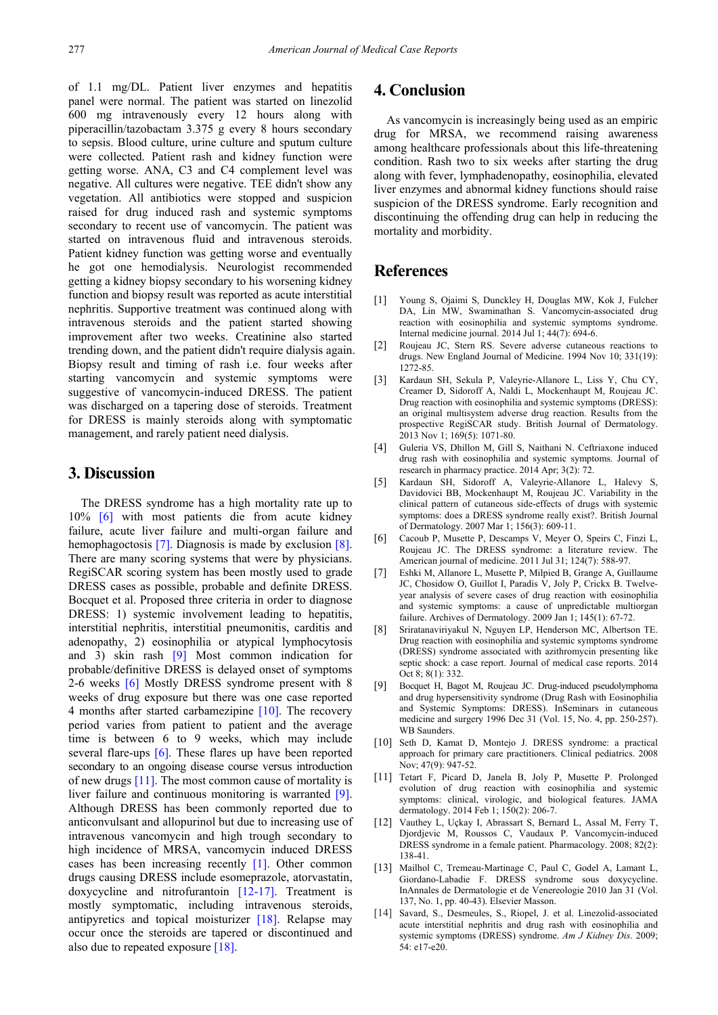of 1.1 mg/DL. Patient liver enzymes and hepatitis panel were normal. The patient was started on linezolid 600 mg intravenously every 12 hours along with piperacillin/tazobactam 3.375 g every 8 hours secondary to sepsis. Blood culture, urine culture and sputum culture were collected. Patient rash and kidney function were getting worse. ANA, C3 and C4 complement level was negative. All cultures were negative. TEE didn't show any vegetation. All antibiotics were stopped and suspicion raised for drug induced rash and systemic symptoms secondary to recent use of vancomycin. The patient was started on intravenous fluid and intravenous steroids. Patient kidney function was getting worse and eventually he got one hemodialysis. Neurologist recommended getting a kidney biopsy secondary to his worsening kidney function and biopsy result was reported as acute interstitial nephritis. Supportive treatment was continued along with intravenous steroids and the patient started showing improvement after two weeks. Creatinine also started trending down, and the patient didn't require dialysis again. Biopsy result and timing of rash i.e. four weeks after starting vancomycin and systemic symptoms were suggestive of vancomycin-induced DRESS. The patient was discharged on a tapering dose of steroids. Treatment for DRESS is mainly steroids along with symptomatic management, and rarely patient need dialysis.

# **3. Discussion**

The DRESS syndrome has a high mortality rate up to 10% [\[6\]](#page-1-4) with most patients die from acute kidney failure, acute liver failure and multi-organ failure and hemophagoctosis [\[7\].](#page-1-5) Diagnosis is made by exclusion [\[8\].](#page-1-6) There are many scoring systems that were by physicians. RegiSCAR scoring system has been mostly used to grade DRESS cases as possible, probable and definite DRESS. Bocquet et al. Proposed three criteria in order to diagnose DRESS: 1) systemic involvement leading to hepatitis, interstitial nephritis, interstitial pneumonitis, carditis and adenopathy, 2) eosinophilia or atypical lymphocytosis and 3) skin rash [\[9\]](#page-1-7) Most common indication for probable/definitive DRESS is delayed onset of symptoms 2-6 weeks [\[6\]](#page-1-4) Mostly DRESS syndrome present with 8 weeks of drug exposure but there was one case reported 4 months after started carbamezipine [\[10\].](#page-1-8) The recovery period varies from patient to patient and the average time is between 6 to 9 weeks, which may include several flare-ups [\[6\].](#page-1-4) These flares up have been reported secondary to an ongoing disease course versus introduction of new drug[s \[11\].](#page-1-9) The most common cause of mortality is liver failure and continuous monitoring is warranted [\[9\].](#page-1-7) Although DRESS has been commonly reported due to anticonvulsant and allopurinol but due to increasing use of intravenous vancomycin and high trough secondary to high incidence of MRSA, vancomycin induced DRESS cases has been increasing recently  $[1]$ . Other common drugs causing DRESS include esomeprazole, atorvastatin, doxycycline and nitrofurantoin [\[12-17\].](#page-1-10) Treatment is mostly symptomatic, including intravenous steroids, antipyretics and topical moisturizer [\[18\].](#page-2-0) Relapse may occur once the steroids are tapered or discontinued and also due to repeated exposur[e \[18\].](#page-2-0)

# **4. Conclusion**

As vancomycin is increasingly being used as an empiric drug for MRSA, we recommend raising awareness among healthcare professionals about this life-threatening condition. Rash two to six weeks after starting the drug along with fever, lymphadenopathy, eosinophilia, elevated liver enzymes and abnormal kidney functions should raise suspicion of the DRESS syndrome. Early recognition and discontinuing the offending drug can help in reducing the mortality and morbidity.

# **References**

- <span id="page-1-0"></span>[1] Young S, Ojaimi S, Dunckley H, Douglas MW, Kok J, Fulcher DA, Lin MW, Swaminathan S. Vancomycin-associated drug reaction with eosinophilia and systemic symptoms syndrome. Internal medicine journal. 2014 Jul 1; 44(7): 694-6.
- <span id="page-1-1"></span>[2] Roujeau JC, Stern RS. Severe adverse cutaneous reactions to drugs. New England Journal of Medicine. 1994 Nov 10; 331(19): 1272-85.
- <span id="page-1-2"></span>[3] Kardaun SH, Sekula P, Valeyrie-Allanore L, Liss Y, Chu CY, Creamer D, Sidoroff A, Naldi L, Mockenhaupt M, Roujeau JC. Drug reaction with eosinophilia and systemic symptoms (DRESS): an original multisystem adverse drug reaction. Results from the prospective RegiSCAR study. British Journal of Dermatology. 2013 Nov 1; 169(5): 1071-80.
- <span id="page-1-3"></span>[4] Guleria VS, Dhillon M, Gill S, Naithani N. Ceftriaxone induced drug rash with eosinophilia and systemic symptoms. Journal of research in pharmacy practice. 2014 Apr; 3(2): 72.
- [5] Kardaun SH, Sidoroff A, Valeyrie-Allanore L, Halevy S, Davidovici BB, Mockenhaupt M, Roujeau JC. Variability in the clinical pattern of cutaneous side-effects of drugs with systemic symptoms: does a DRESS syndrome really exist?. British Journal of Dermatology. 2007 Mar 1; 156(3): 609-11.
- <span id="page-1-4"></span>[6] Cacoub P, Musette P, Descamps V, Meyer O, Speirs C, Finzi L, Roujeau JC. The DRESS syndrome: a literature review. The American journal of medicine. 2011 Jul 31; 124(7): 588-97.
- <span id="page-1-5"></span>[7] Eshki M, Allanore L, Musette P, Milpied B, Grange A, Guillaume JC, Chosidow O, Guillot I, Paradis V, Joly P, Crickx B. Twelveyear analysis of severe cases of drug reaction with eosinophilia and systemic symptoms: a cause of unpredictable multiorgan failure. Archives of Dermatology. 2009 Jan 1; 145(1): 67-72.
- <span id="page-1-6"></span>[8] Sriratanaviriyakul N, Nguyen LP, Henderson MC, Albertson TE. Drug reaction with eosinophilia and systemic symptoms syndrome (DRESS) syndrome associated with azithromycin presenting like septic shock: a case report. Journal of medical case reports. 2014 Oct 8; 8(1): 332.
- <span id="page-1-7"></span>Bocquet H, Bagot M, Roujeau JC. Drug-induced pseudolymphoma and drug hypersensitivity syndrome (Drug Rash with Eosinophilia and Systemic Symptoms: DRESS). InSeminars in cutaneous medicine and surgery 1996 Dec 31 (Vol. 15, No. 4, pp. 250-257). WB Saunders.
- <span id="page-1-8"></span>[10] Seth D, Kamat D, Montejo J. DRESS syndrome: a practical approach for primary care practitioners. Clinical pediatrics. 2008 Nov; 47(9): 947-52.
- <span id="page-1-9"></span>[11] Tetart F, Picard D, Janela B, Joly P, Musette P. Prolonged evolution of drug reaction with eosinophilia and systemic symptoms: clinical, virologic, and biological features. JAMA dermatology. 2014 Feb 1; 150(2): 206-7.
- <span id="page-1-10"></span>[12] Vauthey L, Uçkay I, Abrassart S, Bernard L, Assal M, Ferry T, Djordjevic M, Roussos C, Vaudaux P. Vancomycin-induced DRESS syndrome in a female patient. Pharmacology. 2008; 82(2): 138-41.
- [13] Mailhol C, Tremeau-Martinage C, Paul C, Godel A, Lamant L, Giordano-Labadie F. DRESS syndrome sous doxycycline. InAnnales de Dermatologie et de Venereologie 2010 Jan 31 (Vol. 137, No. 1, pp. 40-43). Elsevier Masson.
- [14] Savard, S., Desmeules, S., Riopel, J. et al. Linezolid-associated acute interstitial nephritis and drug rash with eosinophilia and systemic symptoms (DRESS) syndrome. *Am J Kidney Dis*. 2009; 54: e17-e20.